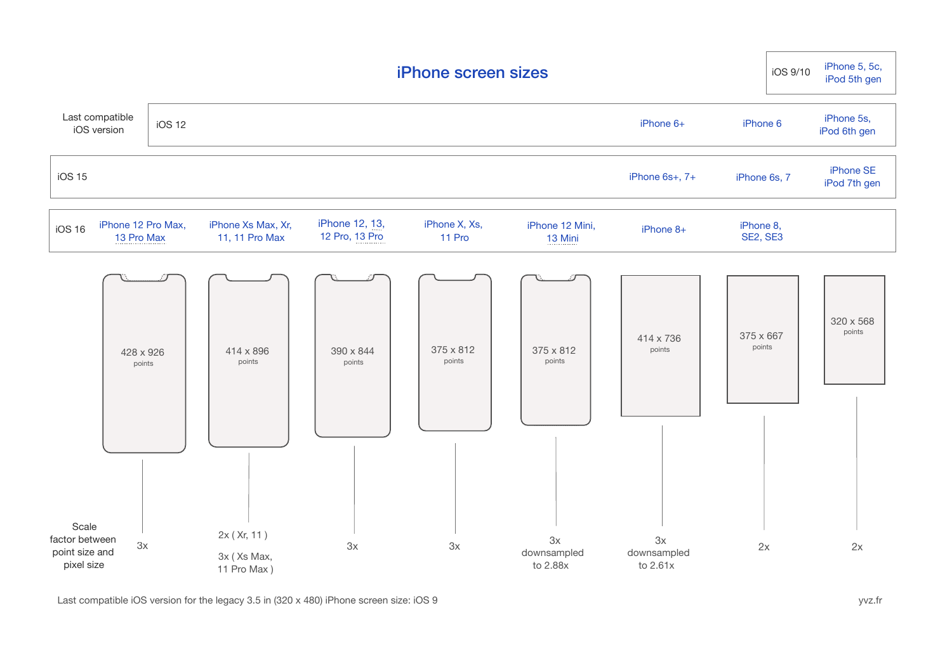| <b>iPhone screen sizes</b>                              |                                  |               |                                           |                                  |                         |                                 |                               |                            | iPhone 5, 5c,<br>iOS 9/10<br>iPod 5th gen |
|---------------------------------------------------------|----------------------------------|---------------|-------------------------------------------|----------------------------------|-------------------------|---------------------------------|-------------------------------|----------------------------|-------------------------------------------|
| Last compatible<br>iOS version                          |                                  | <b>iOS 12</b> |                                           |                                  |                         | iPhone 6+                       | iPhone 6                      | iPhone 5s,<br>iPod 6th gen |                                           |
| <b>iOS 15</b>                                           |                                  |               |                                           |                                  |                         |                                 | iPhone 6s+, 7+                | iPhone 6s, 7               | iPhone SE<br>iPod 7th gen                 |
| <b>iOS 16</b>                                           | iPhone 12 Pro Max,<br>13 Pro Max |               | iPhone Xs Max, Xr,<br>11, 11 Pro Max      | iPhone 12, 13,<br>12 Pro, 13 Pro | iPhone X, Xs,<br>11 Pro | iPhone 12 Mini,<br>13 Mini      | iPhone 8+                     | iPhone 8,<br>SE2, SE3      |                                           |
|                                                         | 428 x 926<br>points              |               | 414 x 896<br>points                       | 390 x 844<br>points              | 375 x 812<br>points     | 375 x 812<br>points             | 414 x 736<br>points           | 375 x 667<br>points        | 320 x 568<br>points                       |
| Scale<br>factor between<br>point size and<br>pixel size | 3x                               |               | 2x (Xr, 11)<br>3x (Xs Max,<br>11 Pro Max) | 3x                               | 3x                      | $3x$<br>downsampled<br>to 2.88x | 3x<br>downsampled<br>to 2.61x | 2x                         | 2x                                        |

Last compatible iOS version for the legacy 3.5 in (320 x 480) iPhone screen size: iOS 9